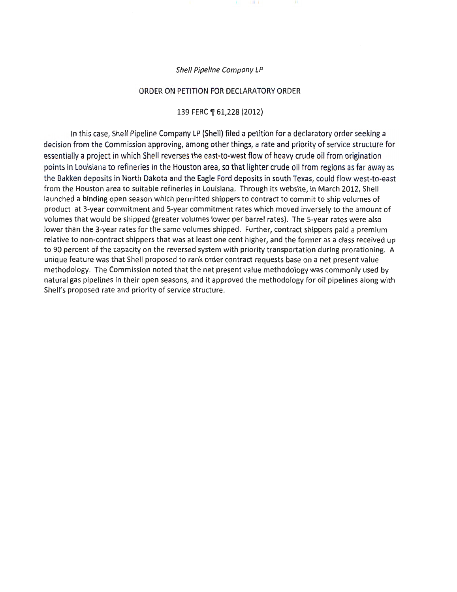#### Shell Pipeline Company LP

#### ORDER ON PETITION FOR DECLARATORY ORDER

#### 139 FERC ¶ 61,228 (2012)

In this case, Shell Pipeline Company LP (Shell) filed a petition for a declaratory order seeking a decision from the Commission approving, among other things, a rate and priority of service structure for essentially a project in which Shell reverses the east-to-west flow of heavy crude oil from origination points in Louisiana to refineries in the Houston area, so that lighter crude oil from regions as far away as the Bakken deposits in North Dakota and the Eagle Ford deposits in south Texas, could flow west-to-east from the Houston area to suitable refineries in Louisiana. Through its website, in March 2012, Shell launched a binding open season which permitted shippers to contract to commit to ship volumes of product at 3-year commitment and 5-year commitment rates which moved inversely to the amount of volumes that would be shipped (greater volumes lower per barrel rates). The 5-year rates were also lower than the 3-year rates for the same volumes shipped. Further, contract shippers paid a premium relative to non-contract shippers that was at least one cent higher, and the former as a class received up to 90 percent of the capacity on the reversed system with priority transportation during prorationing. A unique feature was that Shell proposed to rank order contract requests base on a net present value methodology. The Commission noted that the net present value methodology was commonly used by natural gas pipelines in their open seasons, and it approved the methodology for oil pipelines along with Shell's proposed rate and priority of service structure.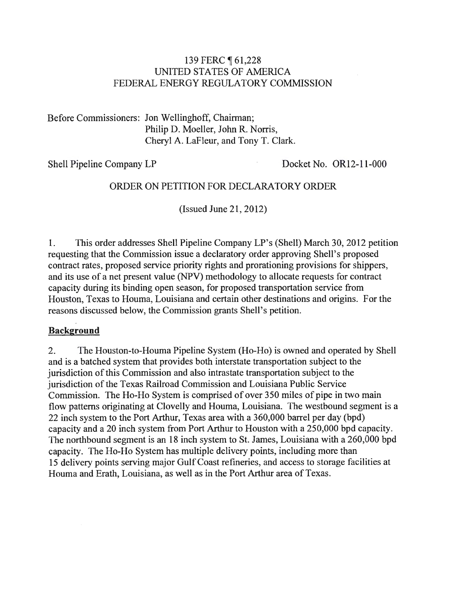### 139 FERC  $\P$  61,228 UNITED STATES OF AMERICA FEDERAL ENERGY REGULATORY COMMISSION

Before Commissioners: Jon Wellinghoff, Chairman; Philip D. Moeller, John R. Norris, Cheryl A. LaFleur, and Tony T. Clark.

Shell Pipeline Company LP Docket No. OR12-11-000

### ORDER ON PETITION FOR DECLARATORY ORDER

(Issued June 21, 2012)

1. This order addresses Shell Pipeline Company LP's (Shell) March 30, 2012 petition requesting that the Commission issue a declaratory order approving Shell's proposed contract rates, proposed service priority rights and prorationing provisions for shippers, and its use of a net present value (NPV) methodology to allocate requests for contract capacity during its binding open season, for proposed transportation service from Houston, Texas to Houma, Louisiana and certain other destinations and origins. For the reasons discussed below, the Commission grants Shell's petition.

#### **Background**

2. The Houston-to-Houma Pipeline System (Ho-Ho) is owned and operated by Shell and is a hatched system that provides both interstate transportation subject to the jurisdiction of this Commission and also intrastate transportation subject to the jurisdiction of the Texas Railroad Commission and Louisiana Public Service Commission. The Ho-Ho System is comprised of over 350 miles of pipe in two main flow patterns originating at Clovelly and Houma, Louisiana. The westbound segment is a 22 inch system to the Port Arthur, Texas area with a 360,000 barrel per day (bpd) capacity and a 20 inch system from Port Arthur to Houston with a 250,000 bpd capacity. The northbound segment is an 18 inch system to St. James, Louisiana with a 260,000 bpd capacity. The Ho-Ho System has multiple delivery points, including more than 15 delivery points serving major Gulf Coast refineries, and access to storage facilities at Houma and Erath, Louisiana, as well as in the Port Arthur area of Texas.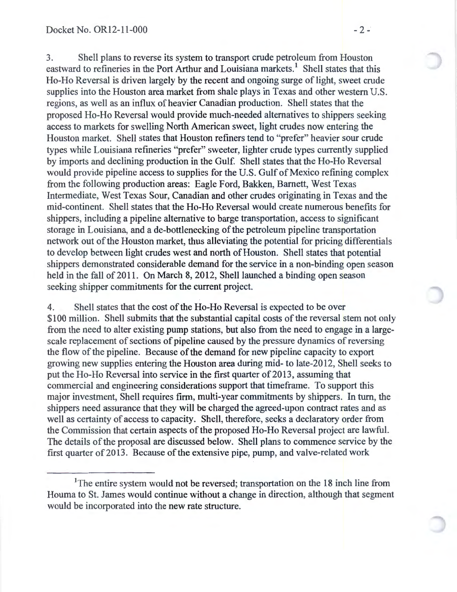3. Shell plans to reverse its system to transport crude petroleum from Houston eastward to refineries in the Port Arthur and Louisiana markets.<sup>1</sup> Shell states that this Ho-Ho Reversal is driven largely by the recent and ongoing surge of light, sweet crude supplies into the Houston area market from shale plays in Texas and other western U.S. regions, as well as an influx of heavier Canadian production. Shell states that the proposed Ho-Ho Reversal would provide much-needed alternatives to shippers seeking access to markets for swelling North American sweet, light crudes now entering the Houston market. Shell states that Houston refiners tend to "prefer" heavier sour crude types while Louisiana refineries "prefer" sweeter, lighter crude types currently supplied by imports and declining production in the Gulf. Shell states that the Ho-Ho Reversal would provide pipeline access to supplies for the U.S. Gulf of Mexico refining complex from the following production areas: Eagle Ford, Bakken, Barnett, West Texas Intermediate, West Texas Sour, Canadian and other crudes originating in Texas and the mid-continent. Shell states that the Ho-Ho Reversal would create numerous benefits for shippers, including a pipeline alternative to barge transportation, access to significant storage in Louisiana, and a de-bottlenecking of the petroleum pipeline transportation network out of the Houston market, thus alleviating the potential for pricing differentials to develop between light crudes west and north of Houston. Shell states that potential shippers demonstrated considerable demand for the service in a non-binding open season held in the fall of 2011. On March 8, 2012, Shell launched a binding open season seeking shipper commitments for the current project.

4. Shell states that the cost of the Ho-Ho Reversal is expected to be over \$100 million. Shell submits that the substantial capital costs of the reversal stem not only from the need to alter existing pump stations, but also from the need to engage in a largescale replacement of sections of pipeline caused by the pressure dynamics of reversing the flow of the pipeline. Because of the demand for new pipeline capacity to export growing new supplies entering the Houston area during mid- to late-2012, Shell seeks to put the Ho-Ho Reversal into service in the first quarter of 2013, assuming that commercial and engineering considerations support that timeframe. To support this major investment, Shell requires firm, multi-year commitments by shippers. In turn, the shippers need assurance that they will be charged the agreed-upon contract rates and as well as certainty of access to capacity. Shell, therefore, seeks a declaratory order from the Commission that certain aspects of the proposed Ho-Ho Reversal project are lawful. The details of the proposal are discussed below. Shell plans to commence service by the first quarter of 2013. Because of the extensive pipe, pump, and valve-related work

<sup>&</sup>lt;sup>1</sup>The entire system would not be reversed; transportation on the 18 inch line from Houma to St. James would continue without a change in direction, although that segment would be incorporated into the new rate structure.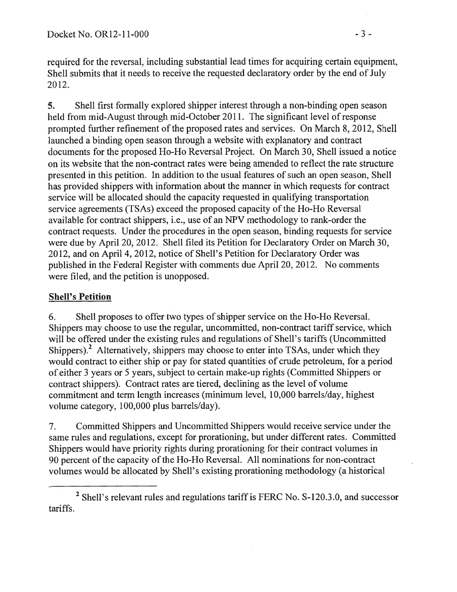required for the reversal, including substantial lead times for acquiring certain equipment, Shell submits that it needs to receive the requested declaratory order by the end of July 2012.

5. Shell first formally explored shipper interest through a non-binding open season held from mid-August through mid-October 2011. The significant level of response prompted further refinement of the proposed rates and services. On March 8, 2012, Shell launched a binding open season through a website with explanatory and contract documents for the proposed Ho-Ho Reversal Project. On March 30, Shell issued a notice on its website that the non-contract rates were being amended to reflect the rate structure presented in this petition. In addition to the usual features of such an open season, Shell has provided shippers with information about the manner in which requests for contract service will be allocated should the capacity requested in qualifying transportation service agreements (TSAs) exceed the proposed capacity of the Ho-Ho Reversal available for contract shippers, i.e., use of an NPV methodology to rank-order the contract requests. Under the procedures in the open season, binding requests for service were due by April 20, 2012. Shell filed its Petition for Declaratory Order on March 30, 2012, and on April4, 2012, notice of Shell's Petition for Declaratory Order was published in the Federal Register with comments due April20, 2012. No comments were filed, and the petition is unopposed.

# **Shell's Petition**

6. Shell proposes to offer two types of shipper service on the Ho-Ho Reversal. Shippers may choose to use the regular, uncommitted, non-contract tariff service, which will be offered under the existing rules and regulations of Shell's tariffs (Uncommitted Shippers).<sup>2</sup> Alternatively, shippers may choose to enter into TSAs, under which they would contract to either ship or pay for stated quantities of crude petroleum, for a period of either 3 years or 5 years, subject to certain make-up rights (Committed Shippers or contract shippers). Contract rates are tiered, declining as the level of volume commitment and term length increases (minimum level, 10,000 barrels/day, highest volume category, 100,000 plus barrels/day).

7. Committed Shippers and Uncommitted Shippers would receive service under the same rules and regulations, except for prorationing, but under different rates. Committed Shippers would have priority rights during prorationing for their contract volumes in 90 percent of the capacity of the Ho-Ho Reversal. All nominations for non-contract volumes would be allocated by Shell's existing prorationing methodology (a historical

<sup>&</sup>lt;sup>2</sup> Shell's relevant rules and regulations tariff is FERC No. S-120.3.0, and successor tariffs.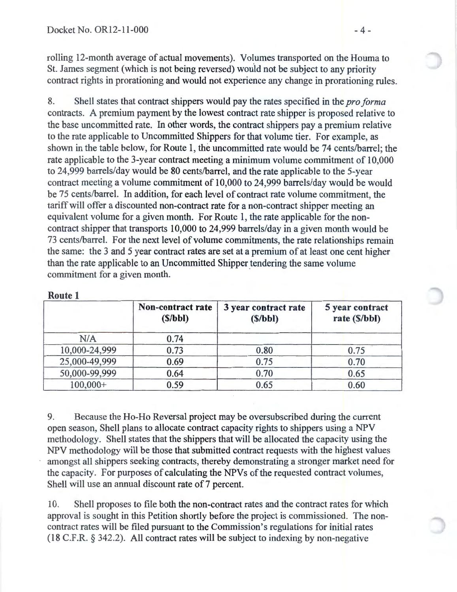rolling 12-month average of actual movements). Volumes transported on the Houma to St. James segment (which is not being reversed) would not be subject to any priority contract rights in prorationing and would not experience any change in prorationing rules.

8. Shell states that contract shippers would pay the rates specified in the *pro forma*  contracts. A premium payment by the lowest contract rate shipper is proposed relative to the base uncommitted rate. In other words, the contract shippers pay a premium relative to the rate applicable to Uncommitted Shippers for that volume tier. For example, as shown in the table below, for Route 1, the uncommitted rate would be 74 cents/barrel; the rate applicable to the 3-year contract meeting a minimum volume commitment of 10,000 to 24,999 barrels/day would be 80 cents/barrel, and the rate applicable to the 5-year contract meeting a volume commitment of 10,000 to 24,999 barrels/day would be would be 75 cents/barrel. In addition, for each level of contract rate volume commitment, the tariff will offer a discounted non-contract rate for a non-contract shipper meeting an equivalent volume for a given month. For Route 1, the rate applicable for the noncontract shipper that transports 10,000 to 24,999 barrels/day in a given month would be 73 cents/barrel. For the next level of volume commitments, the rate relationships remain the same: the 3 and 5 year contract rates are set at a premium of at least one cent higher than the rate applicable to an Uncommitted Shipper tendering the same volume commitment for a given month.

|               | Non-contract rate<br>(S/bbl) | 3 year contract rate<br>(S/bbl) | 5 year contract<br>rate (\$/bbl) |
|---------------|------------------------------|---------------------------------|----------------------------------|
| N/A           | 0.74                         |                                 |                                  |
| 10,000-24,999 | 0.73                         | 0.80                            | 0.75                             |
| 25,000-49,999 | 0.69                         | 0.75                            | 0.70                             |
| 50,000-99,999 | 0.64                         | 0.70                            | 0.65                             |
| $100,000+$    | 0.59                         | 0.65                            | 0.60                             |

Route 1

9. Because the Ho-Ho Reversal project may be oversubscribed during the current open season, Shell plans to allocate contract capacity rights to shippers using a NPV methodology. Shell states that the shippers that will be allocated the capacity using the NPV methodology will be those that submitted contract requests with the highest values amongst all shippers seeking contracts, thereby demonstrating a stronger market need for the capacity. For purposes of calculating the NPVs of the requested contract volumes, Shell will use an annual discount rate of 7 percent.

10. Shell proposes to file both the non-contract rates and the contract rates for which approval is sought in this Petition shortly before the project is commissioned. The noncontract rates will be filed pursuant to the Commission's regulations for initial rates (18 C.P.R.§ 342.2). All contract rates will be subject to indexing by non-negative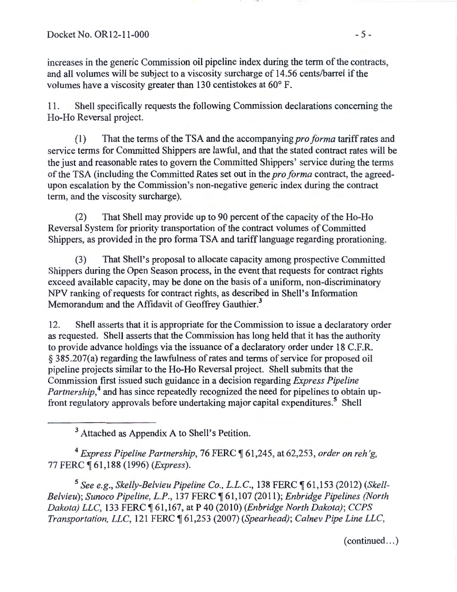increases in the generic Commission oil pipeline index during the term of the contracts, and all volumes will be subject to a viscosity surcharge of 14.56 cents/barrel if the volumes have a viscosity greater than 130 centistokes at 60° F.

11 . Shell specifically requests the following Commission declarations concerning the Ho-Ho Reversal project.

( 1) That the terms of the TSA and the accompanying *pro forma* tariff rates and service terms for Committed Shippers are lawful, and that the stated contract rates will be the just and reasonable rates to govern the Committed Shippers' service during the terms of the TSA (including the Committed Rates set out in the *pro forma* contract, the agreedupon escalation by the Commission's non-negative generic index during the contract term, and the viscosity surcharge).

(2) That Shell may provide up to 90 percent of the capacity of the Ho-Ho Reversal System for priority transportation of the contract volumes of Committed Shippers, as provided in the pro forma TSA and tariff language regarding prorationing.

(3) That Shell's proposal to allocate capacity among prospective Committed Shippers during the Open Season process, in the event that requests for contract rights exceed available capacity, may be done on the basis of a uniform, non-discriminatory NPV ranking of requests for contract rights, as described in Shell's Information Memorandum and the Affidavit of Geoffrey Gauthier.<sup>3</sup>

12. Shell asserts that it is appropriate for the Commission to issue a declaratory order as requested. Shell asserts that the Commission has long held that it has the authority to provide advance holdings via the issuance of a declaratory order under 18 C.F .R. § 385.207(a) regarding the lawfulness of rates and terms of service for proposed oil pipeline projects similar to the Ho-Ho Reversal project. Shell submits that the Commission first issued such guidance in a decision regarding *Express Pipeline*  Partnership,<sup>4</sup> and has since repeatedly recognized the need for pipelines to obtain upfront regulatory approvals before undertaking major capital expenditures.<sup>5</sup> Shell

3 Attached as Appendix A to Shell's Petition.

<sup>4</sup>*Express Pipeline Partnership,* 76 FERC ~ 61,245, at 62,253, *order on reh 'g,*  77 FERC ~ 61 ,188 (1996) *(Express).* 

<sup>5</sup> See e.g., Skelly-Belvieu Pipeline Co., L.L.C., 138 FERC [61,153 (2012) (Skell-*Belvieu); Sunoco Pipeline, L.P.,* 137 FERC ~ 61,107 (2011); *Enbridge Pipelines (North Dakota) LLC,* 133 FERC ~ 61 ,167, at P 40 (2010) *(Enbridge North Dakota); CCPS Transportation, LLC,* 121 FERC ~ 61 ,253 (2007) *(Spearhead); Calnev Pipe Line LLC,* 

(continued...)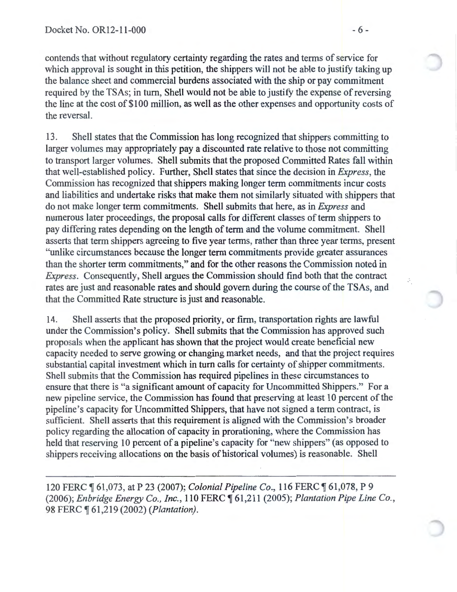contends that without regulatory certainty regarding the rates and terms of service for which approval is sought in this petition, the shippers will not be able to justify taking up the balance sheet and commercial burdens associated with the ship or pay commitment required by the TSAs; in tum, Shell would not be able to justify the expense of reversing the line at the cost of \$1 00 million, as well as the other expenses and opportunity costs of the reversal.

13. Shell states that the Commission has long recognized that shippers committing to larger volumes may appropriately pay a discounted rate relative to those not committing to transport larger volumes. Shell submits that the proposed Committed Rates fall within that well-established policy. Further, Shell states that since the decision in *Express,* the Commission has recognized that shippers making longer term commitments incur costs and liabilities and undertake risks that make them not similarly situated with shippers that do not make longer term commitments. Shell submits that here, as in *Express* and numerous later proceedings, the proposal calls for different classes of term shippers to pay differing rates depending on the length of term and the volume commitment. Shell asserts that term shippers agreeing to five year terms, rather than three year terms, present "unlike circumstances because the longer term commitments provide greater assurances than the shorter term commitments," and for the other reasons the Commission noted in *Express.* Consequently, Shell argues the Commission should find both that the contract rates are just and reasonable rates and should govern during the course of the TSAs, and that the Committed Rate structure is just and reasonable.

14. Shell asserts that the proposed priority, or firm, transportation rights are lawful under the Commission's policy. Shell submits that the Commission has approved such proposals when the applicant has shown that the project would create beneficial new capacity needed to serve growing or changing market needs, and that the project requires substantial capital investment which in tum calls for certainty of shipper commitments. Shell submits that the Commission has required pipelines in these circumstances to ensure that there is "a significant amount of capacity for Uncommitted Shippers." For a new pipeline service, the Commission has found that preserving at least 10 percent of the pipeline's capacity for Uncommitted Shippers, that have not signed a term contract, is sufficient. Shell asserts that this requirement is aligned with the Commission's broader policy regarding the allocation of capacity in prorationing, where the Commission has held that reserving 10 percent of a pipeline's capacity for "new shippers" (as opposed to shippers receiving allocations on the basis of historical volumes) is reasonable. Shell

120 FERC ¶ 61,073, at P 23 (2007); *Colonial Pipeline Co.*, 116 FERC ¶ 61,078, P 9 (2006); *Enbridge Energy Co., Inc.,* 110 FERC ~ 61,211 (2005); *Plantation Pipe Line Co.,*  98 FERC ~ 61,219 (2002) *(Plantation).*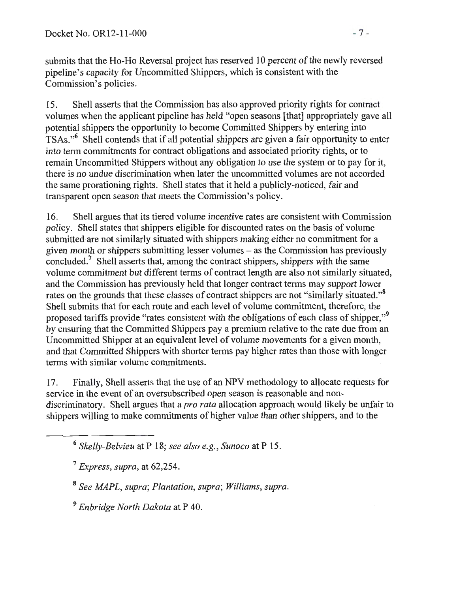submits that the Ho-Ho Reversal project has reserved 10 percent of the newly reversed pipeline's capacity for Uncommitted Shippers, which is consistent with the Commission's policies.

15. Shell asserts that the Commission has also approved priority rights for contract volumes when the applicant pipeline has held "open seasons [that] appropriately gave all potential shippers the opportunity to become Committed Shippers by entering into TSAs."<sup>6</sup> Shell contends that if all potential shippers are given a fair opportunity to enter into term commitments for contract obligations and associated priority rights, or to remain Uncommitted Shippers without any obligation to use the system or to pay for it, there is no undue discrimination when later the uncommitted volumes are not accorded the same prorationing rights. Shell states that it held a publicly-noticed, fair and transparent open season that meets the Commission's policy.

16. Shell argues that its tiered volume incentive rates are consistent with Commission policy. Shell states that shippers eligible for discounted rates on the basis of volume submitted are not similarly situated with shippers making either no commitment for a given month or shippers submitting lesser volumes  $-$  as the Commission has previously concluded.<sup>7</sup> Shell asserts that, among the contract shippers, shippers with the same volume commitment but different terms of contract length are also not similarly situated, and the Commission has previously held that longer contract terms may support lower rates on the grounds that these classes of contract shippers are not "similarly situated."<sup>8</sup> Shell submits that for each route and each level of volume commitment, therefore, the proposed tariffs provide "rates consistent with the obligations of each class of shipper,"<sup>9</sup> by ensuring that the Committed Shippers pay a premium relative to the rate due from an Uncommitted Shipper at an equivalent level of volume movements for a given month, and that Committed Shippers with shorter terms pay higher rates than those with longer terms with similar volume commitments.

17. Finally, Shell asserts that the use of an NPV methodology to allocate requests for service in the event of an oversubscribed open season is reasonable and nondiscriminatory. Shell argues that a *pro rata* allocation approach would likely be unfair to shippers willing to make commitments of higher value than other shippers, and to the

<sup>7</sup>*Express, supra,* at 62,254.

<sup>8</sup>*See MAPL, supra; Plantation, supra; Williams, supra.* 

<sup>9</sup>*Enbridge North Dakota* at P 40.

<sup>6</sup>*Skelly-Belvieu* at P 18; *see also e.g., Sunoco* at P 15.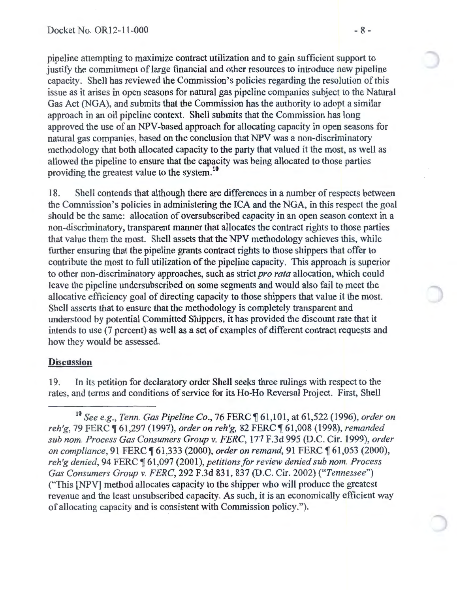pipeline attempting to maximize contract utilization and to gain sufficient support to justify the commitment of large financial and other resources to introduce new pipeline capacity. Shell has reviewed the Commission's policies regarding the resolution of this issue as it arises in open seasons for natural gas pipeline companies subject to the Natural Gas Act (NGA), and submits that the Commission has the authority to adopt a similar approach in an oil pipeline context. Shell submits that the Commission has long approved the use of an NPV -based approach for allocating capacity in open seasons for natural gas companies, based on the conclusion that NPV was a non-discriminatory methodology that both allocated capacity to the party that valued it the most, as well as allowed the pipeline to ensure that the capacity was being allocated to those parties providing the greatest value to the system.<sup>10</sup>

18. Shell contends that although there are differences in a number of respects between the Commission's policies in administering the ICA and the NGA, in this respect the goal should be the same: allocation of oversubscribed capacity in an open season context in a non-discriminatory, transparent manner that allocates the contract rights to those parties that value them the most. Shell assets that the NPV methodology achieves this, while further ensuring that the pipeline grants contract rights to those shippers that offer to contribute the most to full utilization of the pipeline capacity. This approach is superior to other non-discriminatory approaches, such as strict *pro rata* allocation, which could leave the pipeline undersubscribed on some segments and would also fail to meet the allocative efficiency goal of directing capacity to those shippers that value it the most. Shell asserts that to ensure that the methodology is completely transparent and understood by potential Committed Shippers, it has provided the discount rate that it intends to use (7 percent) as well as a set of examples of different contract requests and how they would be assessed.

#### **Discussion**

19. In its petition for declaratory order Shell seeks three rulings with respect to the rates, and terms and conditions of service for its Ho-Ho Reversal Project. First, Shell

<sup>&</sup>lt;sup>10</sup> See e.g., Tenn. Gas Pipeline Co., 76 FERC ¶ 61,101, at 61,522 (1996), order on *reh'g,* 79 FERC ~ 61 ,297 (1997), *order on reh 'g,* 82 FERC ~ 61,008 (1998), *remanded sub nom. Process Gas Consumers Group v. FERC,* 177 F .3d 995 (D.C. Cir. 1999), *order on compliance,* 91 FERC  $\parallel$  61,333 (2000), *order on remand*, 91 FERC  $\parallel$  61,053 (2000), *reh'g denied,* 94 FERC  $\P$  61,097 (2001), *petitions for review denied sub nom. Process Gas Consumers Group v. FERC,* 292 F.3d 831 , 837 (D.C. Cir. 2002) *("Tennessee")*  ("This [NPV] method allocates capacity to the shipper who will produce the greatest revenue and the least unsubscribed capacity. As such, it is an economically efficient way of allocating capacity and is consistent with Commission policy.").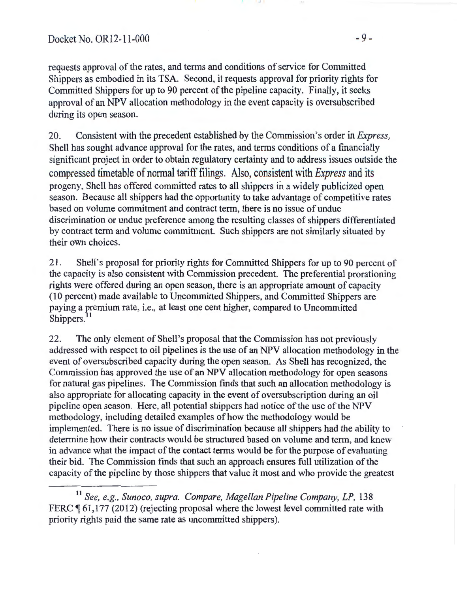requests approval of the rates, and terms and conditions of service for Committed Shippers as embodied in its TSA. Second, it requests approval for priority rights for Committed Shippers for up to 90 percent of the pipeline capacity. Finally, it seeks approval of an NPV allocation methodology in the event capacity is oversubscribed during its open season.

20. Consistent with the precedent established by the Commission's order in *Express,*  Shell has sought advance approval for the rates, and terms conditions of a financially significant project in order to obtain regulatory certainty and to address issues outside the compressed timetable of normal tariff filings. Also, consistent with *Express* and its progeny, Shell has offered committed rates to all shippers in a widely publicized open season. Because all shippers had the opportunity to take advantage of competitive rates based on volume commitment and contract term, there is no issue of undue discrimination or undue preference among the resulting classes of shippers differentiated by contract term and volume commitment. Such shippers are not similarly situated by their own choices.

21. Shell's proposal for priority rights for Committed Shippers for up to 90 percent of the capacity is also consistent with Commission precedent. The preferential prorationing rights were offered during an open season, there is an appropriate amount of capacity (10 percent) made available to Uncommitted Shippers, and Committed Shippers are paying a premium rate, i.e., at least one cent higher, compared to Uncommitted Shippers.<sup>11</sup>

22. The only element of Shell's proposal that the Commission has not previously addressed with respect to oil pipelines is the use of an NPV allocation methodology in the event of oversubscribed capacity during the open season. As Shell has recognized, the Commission has approved the use of an NPV allocation methodology for open seasons for natural gas pipelines. The Commission finds that such an allocation methodology is also appropriate for allocating capacity in the event of oversubscription during an oil pipeline open season. Here, all potential shippers had notice of the use of the NPV methodology, including detailed examples of how the methodology would be implemented. There is no issue of discrimination because all shippers had the ability to determine how their contracts would be structured based on volume and term, and knew in advance what the impact of the contact terms would be for the purpose of evaluating their bid. The Commission finds that such an approach ensures full utilization of the capacity of the pipeline by those shippers that value it most and who provide the greatest

<sup>11</sup> See, e.g., Sunoco, supra. Compare, Magellan Pipeline Company, LP, 138 FERC  $\P$  61,177 (2012) (rejecting proposal where the lowest level committed rate with priority rights paid the same rate as uncommitted shippers).